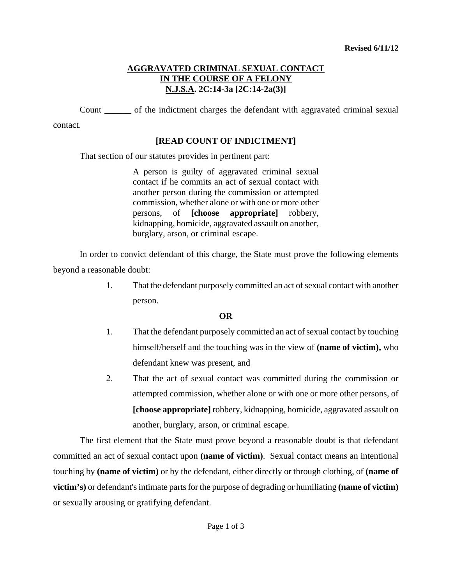# **AGGRAVATED CRIMINAL SEXUAL CONTACT IN THE COURSE OF A FELONY N.J.S.A. 2C:14-3a [2C:14-2a(3)]**

Count \_\_\_\_\_\_ of the indictment charges the defendant with aggravated criminal sexual

contact.

## **[READ COUNT OF INDICTMENT]**

That section of our statutes provides in pertinent part:

A person is guilty of aggravated criminal sexual contact if he commits an act of sexual contact with another person during the commission or attempted commission, whether alone or with one or more other persons, of **[choose appropriate]** robbery, kidnapping, homicide, aggravated assault on another, burglary, arson, or criminal escape.

In order to convict defendant of this charge, the State must prove the following elements beyond a reasonable doubt:

> 1. That the defendant purposely committed an act of sexual contact with another person.

### **OR**

- 1. That the defendant purposely committed an act of sexual contact by touching himself/herself and the touching was in the view of **(name of victim),** who defendant knew was present, and
- 2. That the act of sexual contact was committed during the commission or attempted commission, whether alone or with one or more other persons, of **[choose appropriate]** robbery, kidnapping, homicide, aggravated assault on another, burglary, arson, or criminal escape.

<span id="page-0-0"></span>The first element that the State must prove beyond a reasonable doubt is that defendant committed an act of sexual contact upon **(name of victim)**. Sexual contact means an intentional touching by **(name of victim)** or by the defendant, either directly or through clothing, of **(name of victim's)** or defendant's intimate parts for the purpose of degrading or humiliating **(name of victim)** or sexually arousing or gratifying defendant.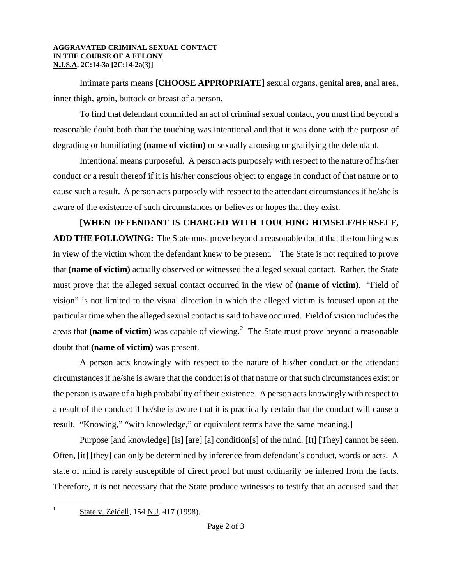#### **AGGRAVATED CRIMINAL SEXUAL CONTACT IN THE COURSE OF A FELONY N.J.S.A. 2C:14-3a [2C:14-2a(3)]**

Intimate parts means **[CHOOSE APPROPRIATE]** sexual organs, genital area, anal area, inner thigh, groin, buttock or breast of a person.

To find that defendant committed an act of criminal sexual contact, you must find beyond a reasonable doubt both that the touching was intentional and that it was done with the purpose of degrading or humiliating **(name of victim)** or sexually arousing or gratifying the defendant.

Intentional means purposeful. A person acts purposely with respect to the nature of his/her conduct or a result thereof if it is his/her conscious object to engage in conduct of that nature or to cause such a result. A person acts purposely with respect to the attendant circumstances if he/she is aware of the existence of such circumstances or believes or hopes that they exist.

**[WHEN DEFENDANT IS CHARGED WITH TOUCHING HIMSELF/HERSELF, ADD THE FOLLOWING:** The State must prove beyond a reasonable doubt that the touching was in view of the victim whom the defendant knew to be present.<sup>[1](#page-0-0)</sup> The State is not required to prove that **(name of victim)** actually observed or witnessed the alleged sexual contact. Rather, the State must prove that the alleged sexual contact occurred in the view of **(name of victim)**. "Field of vision" is not limited to the visual direction in which the alleged victim is focused upon at the particular time when the alleged sexual contact is said to have occurred. Field of vision includes the areas that (name of victim) was capable of viewing.<sup>[2](#page-1-0)</sup> The State must prove beyond a reasonable doubt that **(name of victim)** was present.

<span id="page-1-1"></span><span id="page-1-0"></span>A person acts knowingly with respect to the nature of his/her conduct or the attendant circumstances if he/she is aware that the conduct is of that nature or that such circumstances exist or the person is aware of a high probability of their existence. A person acts knowingly with respect to a result of the conduct if he/she is aware that it is practically certain that the conduct will cause a result. "Knowing," "with knowledge," or equivalent terms have the same meaning.]

Purpose [and knowledge] [is] [are] [a] condition[s] of the mind. [It] [They] cannot be seen. Often, [it] [they] can only be determined by inference from defendant's conduct, words or acts. A state of mind is rarely susceptible of direct proof but must ordinarily be inferred from the facts. Therefore, it is not necessary that the State produce witnesses to testify that an accused said that

State v. Zeidell, 154 N.J. 417 (1998).

 $\mathbf{1}$